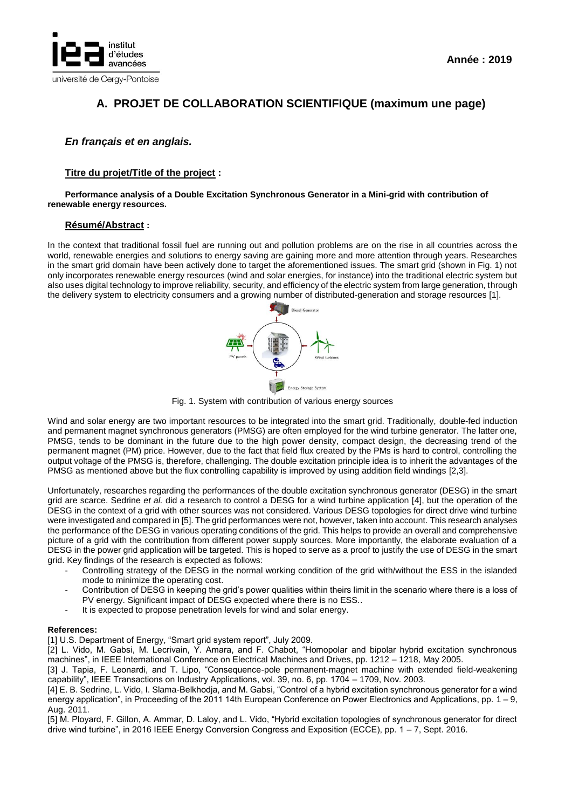

# **A. PROJET DE COLLABORATION SCIENTIFIQUE (maximum une page)**

# *En français et en anglais.*

## **Titre du projet/Title of the project :**

#### **Performance analysis of a Double Excitation Synchronous Generator in a Mini-grid with contribution of renewable energy resources.**

### **Résumé/Abstract :**

In the context that traditional fossil fuel are running out and pollution problems are on the rise in all countries across the world, renewable energies and solutions to energy saving are gaining more and more attention through years. Researches in the smart grid domain have been actively done to target the aforementioned issues. The smart grid (shown in Fig. 1) not only incorporates renewable energy resources (wind and solar energies, for instance) into the traditional electric system but also uses digital technology to improve reliability, security, and efficiency of the electric system from large generation, through the delivery system to electricity consumers and a growing number of distributed-generation and storage resources [1].



Fig. 1. System with contribution of various energy sources

Wind and solar energy are two important resources to be integrated into the smart grid. Traditionally, double-fed induction and permanent magnet synchronous generators (PMSG) are often employed for the wind turbine generator. The latter one, PMSG, tends to be dominant in the future due to the high power density, compact design, the decreasing trend of the permanent magnet (PM) price. However, due to the fact that field flux created by the PMs is hard to control, controlling the output voltage of the PMSG is, therefore, challenging. The double excitation principle idea is to inherit the advantages of the PMSG as mentioned above but the flux controlling capability is improved by using addition field windings [2,3].

Unfortunately, researches regarding the performances of the double excitation synchronous generator (DESG) in the smart grid are scarce. Sedrine *et al.* did a research to control a DESG for a wind turbine application [4], but the operation of the DESG in the context of a grid with other sources was not considered. Various DESG topologies for direct drive wind turbine were investigated and compared in [5]. The grid performances were not, however, taken into account. This research analyses the performance of the DESG in various operating conditions of the grid. This helps to provide an overall and comprehensive picture of a grid with the contribution from different power supply sources. More importantly, the elaborate evaluation of a DESG in the power grid application will be targeted. This is hoped to serve as a proof to justify the use of DESG in the smart grid. Key findings of the research is expected as follows:

- Controlling strategy of the DESG in the normal working condition of the grid with/without the ESS in the islanded mode to minimize the operating cost.
- Contribution of DESG in keeping the grid's power qualities within theirs limit in the scenario where there is a loss of PV energy. Significant impact of DESG expected where there is no ESS..
- It is expected to propose penetration levels for wind and solar energy.

#### **References:**

[1] U.S. Department of Energy, "Smart grid system report", July 2009.

[2] L. Vido, M. Gabsi, M. Lecrivain, Y. Amara, and F. Chabot, "Homopolar and bipolar hybrid excitation synchronous machines", in IEEE International Conference on Electrical Machines and Drives, pp. 1212 – 1218, May 2005.

[3] J. Tapia, F. Leonardi, and T. Lipo, "Consequence-pole permanent-magnet machine with extended field-weakening capability", IEEE Transactions on Industry Applications, vol. 39, no. 6, pp. 1704 – 1709, Nov. 2003.

[4] E. B. Sedrine, L. Vido, I. Slama-Belkhodja, and M. Gabsi, "Control of a hybrid excitation synchronous generator for a wind energy application", in Proceeding of the 2011 14th European Conference on Power Electronics and Applications, pp. 1 – 9, Aug. 2011.

[5] M. Ployard, F. Gillon, A. Ammar, D. Laloy, and L. Vido, "Hybrid excitation topologies of synchronous generator for direct drive wind turbine", in 2016 IEEE Energy Conversion Congress and Exposition (ECCE), pp. 1 – 7, Sept. 2016.